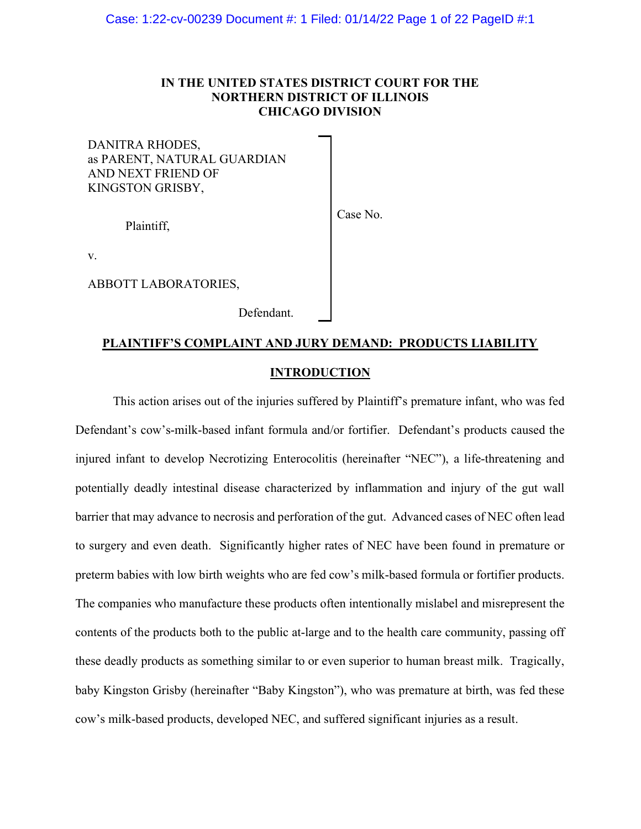# IN THE UNITED STATES DISTRICT COURT FOR THE NORTHERN DISTRICT OF ILLINOIS CHICAGO DIVISION

Case No.

DANITRA RHODES, as PARENT, NATURAL GUARDIAN AND NEXT FRIEND OF KINGSTON GRISBY,

Plaintiff,

v.

ABBOTT LABORATORIES,

Defendant.

# PLAINTIFF'S COMPLAINT AND JURY DEMAND: PRODUCTS LIABILITY INTRODUCTION

 This action arises out of the injuries suffered by Plaintiff's premature infant, who was fed Defendant's cow's-milk-based infant formula and/or fortifier. Defendant's products caused the injured infant to develop Necrotizing Enterocolitis (hereinafter "NEC"), a life-threatening and potentially deadly intestinal disease characterized by inflammation and injury of the gut wall barrier that may advance to necrosis and perforation of the gut. Advanced cases of NEC often lead to surgery and even death. Significantly higher rates of NEC have been found in premature or preterm babies with low birth weights who are fed cow's milk-based formula or fortifier products. The companies who manufacture these products often intentionally mislabel and misrepresent the contents of the products both to the public at-large and to the health care community, passing off these deadly products as something similar to or even superior to human breast milk. Tragically, baby Kingston Grisby (hereinafter "Baby Kingston"), who was premature at birth, was fed these cow's milk-based products, developed NEC, and suffered significant injuries as a result.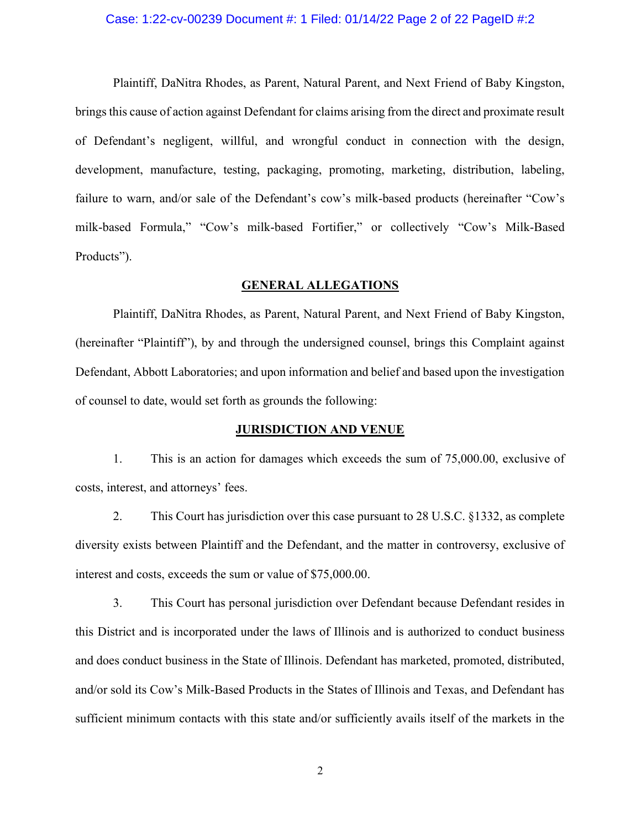#### Case: 1:22-cv-00239 Document #: 1 Filed: 01/14/22 Page 2 of 22 PageID #:2

 Plaintiff, DaNitra Rhodes, as Parent, Natural Parent, and Next Friend of Baby Kingston, brings this cause of action against Defendant for claims arising from the direct and proximate result of Defendant's negligent, willful, and wrongful conduct in connection with the design, development, manufacture, testing, packaging, promoting, marketing, distribution, labeling, failure to warn, and/or sale of the Defendant's cow's milk-based products (hereinafter "Cow's milk-based Formula," "Cow's milk-based Fortifier," or collectively "Cow's Milk-Based Products").

#### GENERAL ALLEGATIONS

 Plaintiff, DaNitra Rhodes, as Parent, Natural Parent, and Next Friend of Baby Kingston, (hereinafter "Plaintiff"), by and through the undersigned counsel, brings this Complaint against Defendant, Abbott Laboratories; and upon information and belief and based upon the investigation of counsel to date, would set forth as grounds the following:

#### JURISDICTION AND VENUE

1. This is an action for damages which exceeds the sum of 75,000.00, exclusive of costs, interest, and attorneys' fees.

2. This Court has jurisdiction over this case pursuant to 28 U.S.C. §1332, as complete diversity exists between Plaintiff and the Defendant, and the matter in controversy, exclusive of interest and costs, exceeds the sum or value of \$75,000.00.

3. This Court has personal jurisdiction over Defendant because Defendant resides in this District and is incorporated under the laws of Illinois and is authorized to conduct business and does conduct business in the State of Illinois. Defendant has marketed, promoted, distributed, and/or sold its Cow's Milk-Based Products in the States of Illinois and Texas, and Defendant has sufficient minimum contacts with this state and/or sufficiently avails itself of the markets in the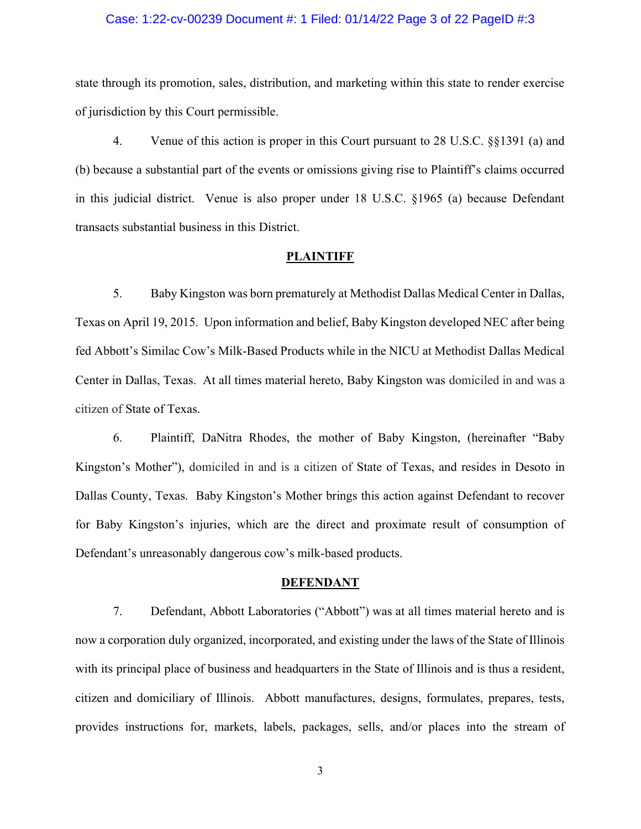#### Case: 1:22-cv-00239 Document #: 1 Filed: 01/14/22 Page 3 of 22 PageID #:3

state through its promotion, sales, distribution, and marketing within this state to render exercise of jurisdiction by this Court permissible.

4. Venue of this action is proper in this Court pursuant to 28 U.S.C. §§1391 (a) and (b) because a substantial part of the events or omissions giving rise to Plaintiff's claims occurred in this judicial district. Venue is also proper under 18 U.S.C. §1965 (a) because Defendant transacts substantial business in this District.

#### **PLAINTIFF**

5. Baby Kingston was born prematurely at Methodist Dallas Medical Center in Dallas, Texas on April 19, 2015. Upon information and belief, Baby Kingston developed NEC after being fed Abbott's Similac Cow's Milk-Based Products while in the NICU at Methodist Dallas Medical Center in Dallas, Texas. At all times material hereto, Baby Kingston was domiciled in and was a citizen of State of Texas.

6. Plaintiff, DaNitra Rhodes, the mother of Baby Kingston, (hereinafter "Baby Kingston's Mother"), domiciled in and is a citizen of State of Texas, and resides in Desoto in Dallas County, Texas. Baby Kingston's Mother brings this action against Defendant to recover for Baby Kingston's injuries, which are the direct and proximate result of consumption of Defendant's unreasonably dangerous cow's milk-based products.

#### **DEFENDANT**

7. Defendant, Abbott Laboratories ("Abbott") was at all times material hereto and is now a corporation duly organized, incorporated, and existing under the laws of the State of Illinois with its principal place of business and headquarters in the State of Illinois and is thus a resident, citizen and domiciliary of Illinois. Abbott manufactures, designs, formulates, prepares, tests, provides instructions for, markets, labels, packages, sells, and/or places into the stream of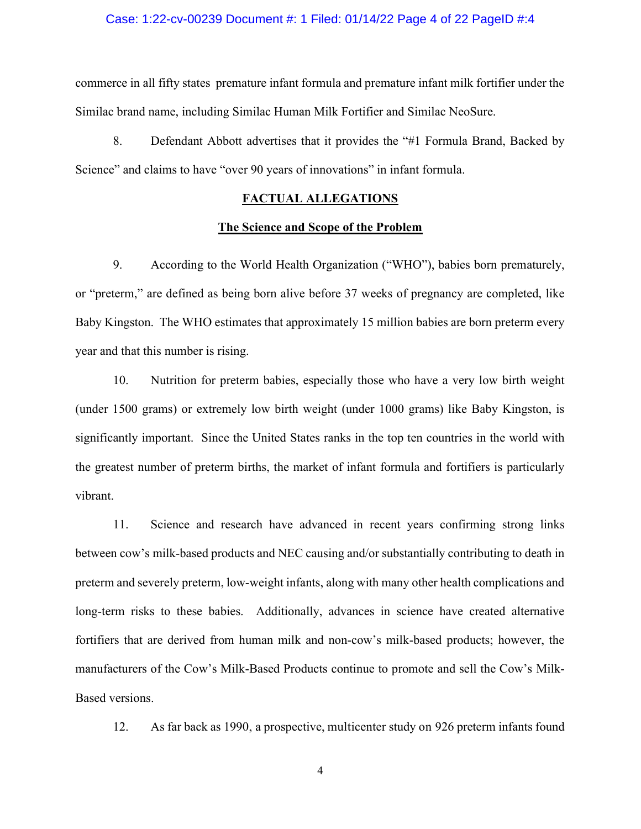#### Case: 1:22-cv-00239 Document #: 1 Filed: 01/14/22 Page 4 of 22 PageID #:4

commerce in all fifty states premature infant formula and premature infant milk fortifier under the Similac brand name, including Similac Human Milk Fortifier and Similac NeoSure.

8. Defendant Abbott advertises that it provides the "#1 Formula Brand, Backed by Science" and claims to have "over 90 years of innovations" in infant formula.

# FACTUAL ALLEGATIONS

#### The Science and Scope of the Problem

9. According to the World Health Organization ("WHO"), babies born prematurely, or "preterm," are defined as being born alive before 37 weeks of pregnancy are completed, like Baby Kingston. The WHO estimates that approximately 15 million babies are born preterm every year and that this number is rising.

10. Nutrition for preterm babies, especially those who have a very low birth weight (under 1500 grams) or extremely low birth weight (under 1000 grams) like Baby Kingston, is significantly important. Since the United States ranks in the top ten countries in the world with the greatest number of preterm births, the market of infant formula and fortifiers is particularly vibrant.

11. Science and research have advanced in recent years confirming strong links between cow's milk-based products and NEC causing and/or substantially contributing to death in preterm and severely preterm, low-weight infants, along with many other health complications and long-term risks to these babies. Additionally, advances in science have created alternative fortifiers that are derived from human milk and non-cow's milk-based products; however, the manufacturers of the Cow's Milk-Based Products continue to promote and sell the Cow's Milk-Based versions.

12. As far back as 1990, a prospective, multicenter study on 926 preterm infants found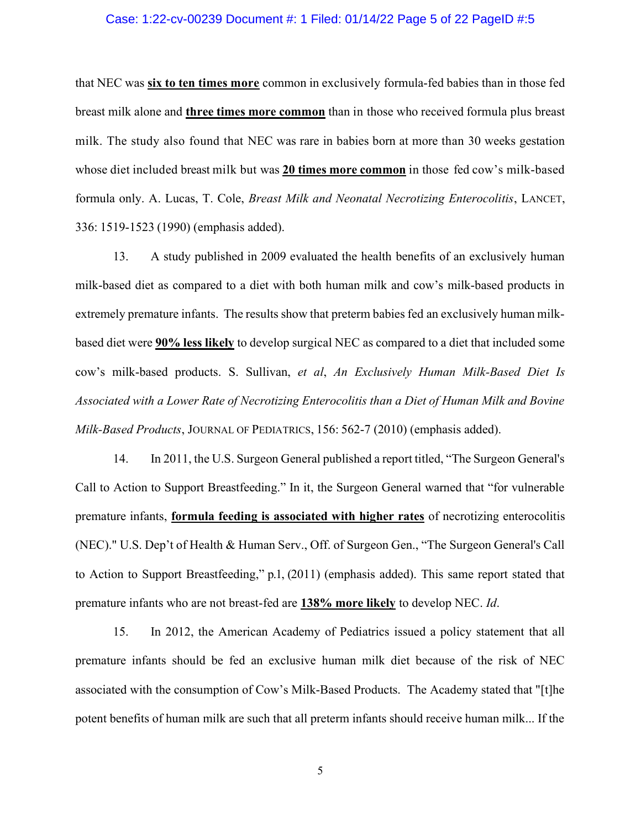#### Case: 1:22-cv-00239 Document #: 1 Filed: 01/14/22 Page 5 of 22 PageID #:5

that NEC was six to ten times more common in exclusively formula-fed babies than in those fed breast milk alone and three times more common than in those who received formula plus breast milk. The study also found that NEC was rare in babies born at more than 30 weeks gestation whose diet included breast milk but was 20 times more common in those fed cow's milk-based formula only. A. Lucas, T. Cole, Breast Milk and Neonatal Necrotizing Enterocolitis, LANCET, 336: 1519-1523 (1990) (emphasis added).

13. A study published in 2009 evaluated the health benefits of an exclusively human milk-based diet as compared to a diet with both human milk and cow's milk-based products in extremely premature infants. The results show that preterm babies fed an exclusively human milkbased diet were **90% less likely** to develop surgical NEC as compared to a diet that included some cow's milk-based products. S. Sullivan, et al, An Exclusively Human Milk-Based Diet Is Associated with a Lower Rate of Necrotizing Enterocolitis than a Diet of Human Milk and Bovine Milk-Based Products, JOURNAL OF PEDIATRICS, 156: 562-7 (2010) (emphasis added).

14. In 2011, the U.S. Surgeon General published a report titled, "The Surgeon General's Call to Action to Support Breastfeeding." In it, the Surgeon General warned that "for vulnerable premature infants, formula feeding is associated with higher rates of necrotizing enterocolitis (NEC)." U.S. Dep't of Health & Human Serv., Off. of Surgeon Gen., "The Surgeon General's Call to Action to Support Breastfeeding," p.1, (2011) (emphasis added). This same report stated that premature infants who are not breast-fed are 138% more likely to develop NEC. Id.

15. In 2012, the American Academy of Pediatrics issued a policy statement that all premature infants should be fed an exclusive human milk diet because of the risk of NEC associated with the consumption of Cow's Milk-Based Products. The Academy stated that "[t]he potent benefits of human milk are such that all preterm infants should receive human milk... If the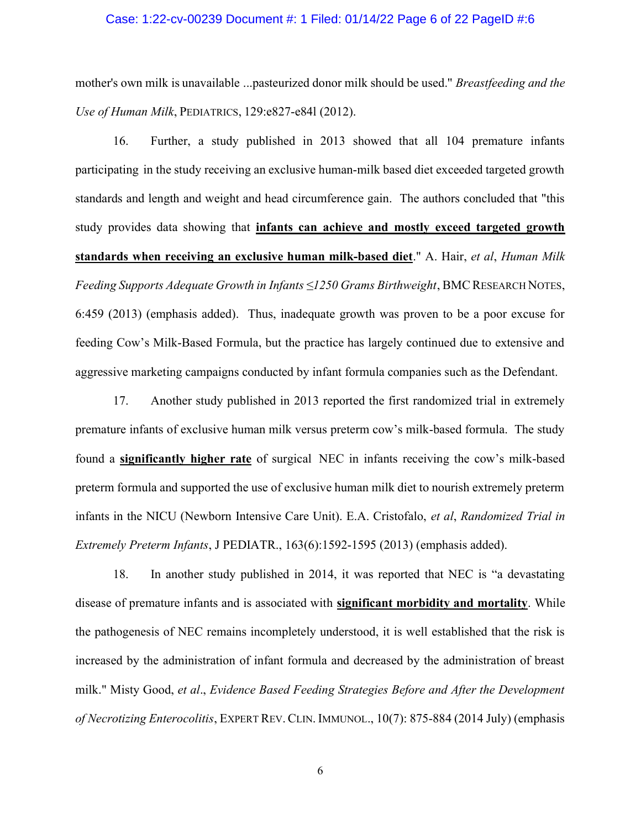#### Case: 1:22-cv-00239 Document #: 1 Filed: 01/14/22 Page 6 of 22 PageID #:6

mother's own milk is unavailable ...pasteurized donor milk should be used." *Breastfeeding and the* Use of Human Milk, PEDIATRICS, 129:e827-e84l (2012).

16. Further, a study published in 2013 showed that all 104 premature infants participating in the study receiving an exclusive human-milk based diet exceeded targeted growth standards and length and weight and head circumference gain. The authors concluded that "this study provides data showing that infants can achieve and mostly exceed targeted growth standards when receiving an exclusive human milk-based diet." A. Hair, et al, Human Milk Feeding Supports Adequate Growth in Infants ≤1250 Grams Birthweight, BMC RESEARCH NOTES, 6:459 (2013) (emphasis added). Thus, inadequate growth was proven to be a poor excuse for feeding Cow's Milk-Based Formula, but the practice has largely continued due to extensive and aggressive marketing campaigns conducted by infant formula companies such as the Defendant.

17. Another study published in 2013 reported the first randomized trial in extremely premature infants of exclusive human milk versus preterm cow's milk-based formula. The study found a significantly higher rate of surgical NEC in infants receiving the cow's milk-based preterm formula and supported the use of exclusive human milk diet to nourish extremely preterm infants in the NICU (Newborn Intensive Care Unit). E.A. Cristofalo, et al, Randomized Trial in Extremely Preterm Infants, J PEDIATR., 163(6):1592-1595 (2013) (emphasis added).

18. In another study published in 2014, it was reported that NEC is "a devastating disease of premature infants and is associated with significant morbidity and mortality. While the pathogenesis of NEC remains incompletely understood, it is well established that the risk is increased by the administration of infant formula and decreased by the administration of breast milk." Misty Good, et al., Evidence Based Feeding Strategies Before and After the Development of Necrotizing Enterocolitis, EXPERT REV. CLIN. IMMUNOL., 10(7): 875-884 (2014 July) (emphasis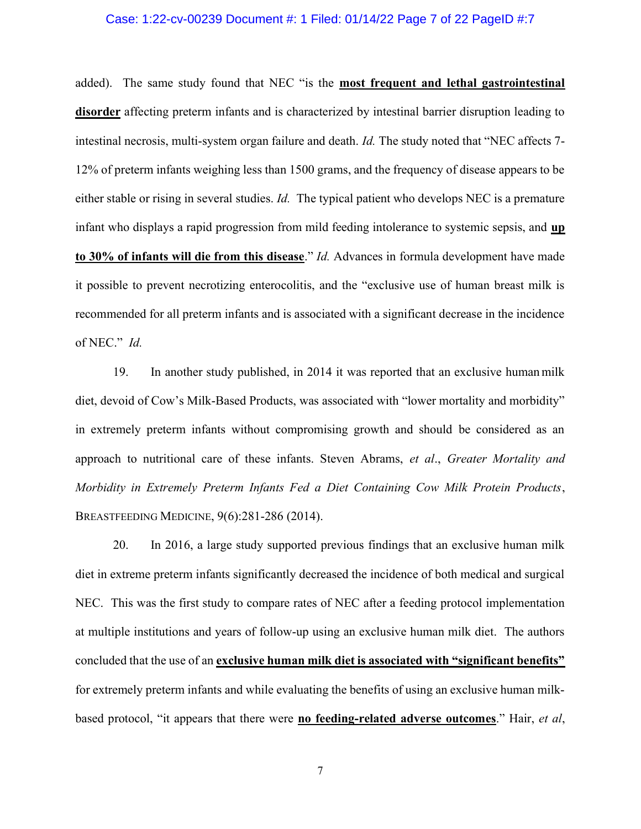#### Case: 1:22-cv-00239 Document #: 1 Filed: 01/14/22 Page 7 of 22 PageID #:7

added). The same study found that NEC "is the most frequent and lethal gastrointestinal disorder affecting preterm infants and is characterized by intestinal barrier disruption leading to intestinal necrosis, multi-system organ failure and death. Id. The study noted that "NEC affects 7- 12% of preterm infants weighing less than 1500 grams, and the frequency of disease appears to be either stable or rising in several studies. *Id*. The typical patient who develops NEC is a premature infant who displays a rapid progression from mild feeding intolerance to systemic sepsis, and up to 30% of infants will die from this disease." Id. Advances in formula development have made it possible to prevent necrotizing enterocolitis, and the "exclusive use of human breast milk is recommended for all preterm infants and is associated with a significant decrease in the incidence of NEC." Id.

19. In another study published, in 2014 it was reported that an exclusive human milk diet, devoid of Cow's Milk-Based Products, was associated with "lower mortality and morbidity" in extremely preterm infants without compromising growth and should be considered as an approach to nutritional care of these infants. Steven Abrams, et al., Greater Mortality and Morbidity in Extremely Preterm Infants Fed a Diet Containing Cow Milk Protein Products, BREASTFEEDING MEDICINE, 9(6):281-286 (2014).

20. In 2016, a large study supported previous findings that an exclusive human milk diet in extreme preterm infants significantly decreased the incidence of both medical and surgical NEC. This was the first study to compare rates of NEC after a feeding protocol implementation at multiple institutions and years of follow-up using an exclusive human milk diet. The authors concluded that the use of an exclusive human milk diet is associated with "significant benefits" for extremely preterm infants and while evaluating the benefits of using an exclusive human milkbased protocol, "it appears that there were no feeding-related adverse outcomes." Hair, et al,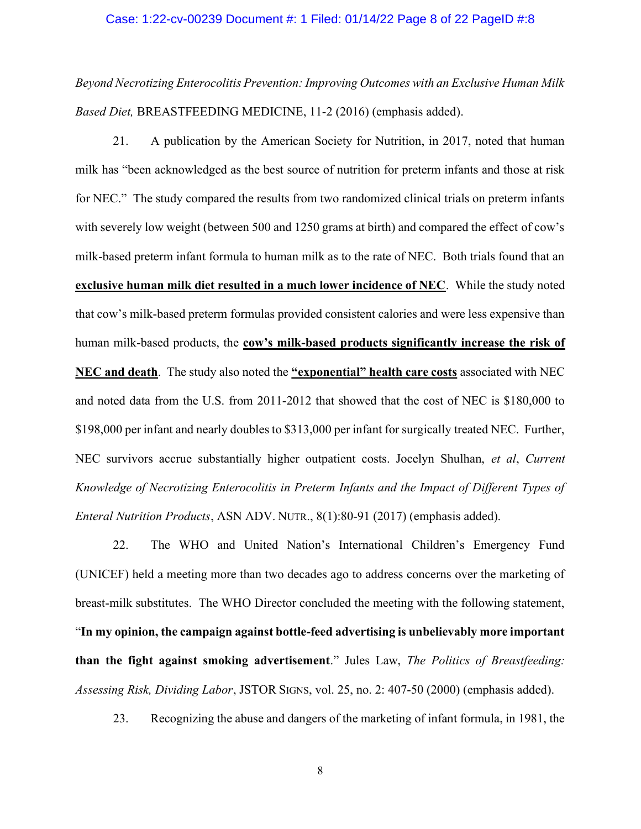#### Case: 1:22-cv-00239 Document #: 1 Filed: 01/14/22 Page 8 of 22 PageID #:8

Beyond Necrotizing Enterocolitis Prevention: Improving Outcomes with an Exclusive Human Milk Based Diet, BREASTFEEDING MEDICINE, 11-2 (2016) (emphasis added).

21. A publication by the American Society for Nutrition, in 2017, noted that human milk has "been acknowledged as the best source of nutrition for preterm infants and those at risk for NEC." The study compared the results from two randomized clinical trials on preterm infants with severely low weight (between 500 and 1250 grams at birth) and compared the effect of cow's milk-based preterm infant formula to human milk as to the rate of NEC. Both trials found that an exclusive human milk diet resulted in a much lower incidence of NEC. While the study noted that cow's milk-based preterm formulas provided consistent calories and were less expensive than human milk-based products, the cow's milk-based products significantly increase the risk of NEC and death. The study also noted the "exponential" health care costs associated with NEC and noted data from the U.S. from 2011-2012 that showed that the cost of NEC is \$180,000 to \$198,000 per infant and nearly doubles to \$313,000 per infant for surgically treated NEC. Further, NEC survivors accrue substantially higher outpatient costs. Jocelyn Shulhan, et al, Current Knowledge of Necrotizing Enterocolitis in Preterm Infants and the Impact of Different Types of Enteral Nutrition Products, ASN ADV. NUTR., 8(1):80-91 (2017) (emphasis added).

22. The WHO and United Nation's International Children's Emergency Fund (UNICEF) held a meeting more than two decades ago to address concerns over the marketing of breast-milk substitutes. The WHO Director concluded the meeting with the following statement, "In my opinion, the campaign against bottle-feed advertising is unbelievably more important than the fight against smoking advertisement." Jules Law, The Politics of Breastfeeding: Assessing Risk, Dividing Labor, JSTOR SIGNS, vol. 25, no. 2: 407-50 (2000) (emphasis added).

23. Recognizing the abuse and dangers of the marketing of infant formula, in 1981, the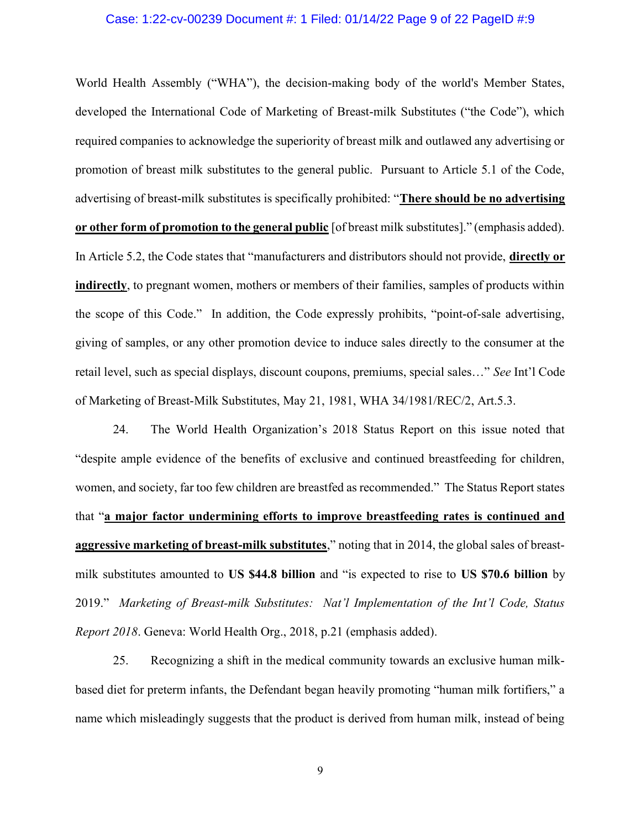#### Case: 1:22-cv-00239 Document #: 1 Filed: 01/14/22 Page 9 of 22 PageID #:9

World Health Assembly ("WHA"), the decision-making body of the world's Member States, developed the International Code of Marketing of Breast-milk Substitutes ("the Code"), which required companies to acknowledge the superiority of breast milk and outlawed any advertising or promotion of breast milk substitutes to the general public. Pursuant to Article 5.1 of the Code, advertising of breast-milk substitutes is specifically prohibited: "There should be no advertising or other form of promotion to the general public [of breast milk substitutes]." (emphasis added). In Article 5.2, the Code states that "manufacturers and distributors should not provide, **directly or** indirectly, to pregnant women, mothers or members of their families, samples of products within the scope of this Code." In addition, the Code expressly prohibits, "point-of-sale advertising, giving of samples, or any other promotion device to induce sales directly to the consumer at the retail level, such as special displays, discount coupons, premiums, special sales…" See Int'l Code of Marketing of Breast-Milk Substitutes, May 21, 1981, WHA 34/1981/REC/2, Art.5.3.

24. The World Health Organization's 2018 Status Report on this issue noted that "despite ample evidence of the benefits of exclusive and continued breastfeeding for children, women, and society, far too few children are breastfed as recommended." The Status Report states that "a major factor undermining efforts to improve breastfeeding rates is continued and aggressive marketing of breast-milk substitutes," noting that in 2014, the global sales of breastmilk substitutes amounted to US \$44.8 billion and "is expected to rise to US \$70.6 billion by 2019." Marketing of Breast-milk Substitutes: Nat'l Implementation of the Int'l Code, Status Report 2018. Geneva: World Health Org., 2018, p.21 (emphasis added).

25. Recognizing a shift in the medical community towards an exclusive human milkbased diet for preterm infants, the Defendant began heavily promoting "human milk fortifiers," a name which misleadingly suggests that the product is derived from human milk, instead of being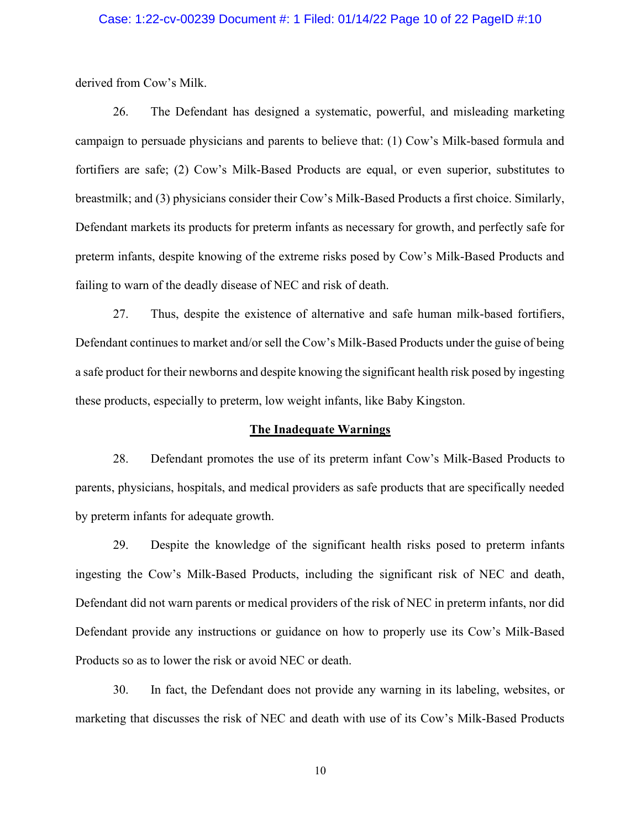#### Case: 1:22-cv-00239 Document #: 1 Filed: 01/14/22 Page 10 of 22 PageID #:10

derived from Cow's Milk.

26. The Defendant has designed a systematic, powerful, and misleading marketing campaign to persuade physicians and parents to believe that: (1) Cow's Milk-based formula and fortifiers are safe; (2) Cow's Milk-Based Products are equal, or even superior, substitutes to breastmilk; and (3) physicians consider their Cow's Milk-Based Products a first choice. Similarly, Defendant markets its products for preterm infants as necessary for growth, and perfectly safe for preterm infants, despite knowing of the extreme risks posed by Cow's Milk-Based Products and failing to warn of the deadly disease of NEC and risk of death.

27. Thus, despite the existence of alternative and safe human milk-based fortifiers, Defendant continues to market and/or sell the Cow's Milk-Based Products under the guise of being a safe product for their newborns and despite knowing the significant health risk posed by ingesting these products, especially to preterm, low weight infants, like Baby Kingston.

#### The Inadequate Warnings

28. Defendant promotes the use of its preterm infant Cow's Milk-Based Products to parents, physicians, hospitals, and medical providers as safe products that are specifically needed by preterm infants for adequate growth.

29. Despite the knowledge of the significant health risks posed to preterm infants ingesting the Cow's Milk-Based Products, including the significant risk of NEC and death, Defendant did not warn parents or medical providers of the risk of NEC in preterm infants, nor did Defendant provide any instructions or guidance on how to properly use its Cow's Milk-Based Products so as to lower the risk or avoid NEC or death.

30. In fact, the Defendant does not provide any warning in its labeling, websites, or marketing that discusses the risk of NEC and death with use of its Cow's Milk-Based Products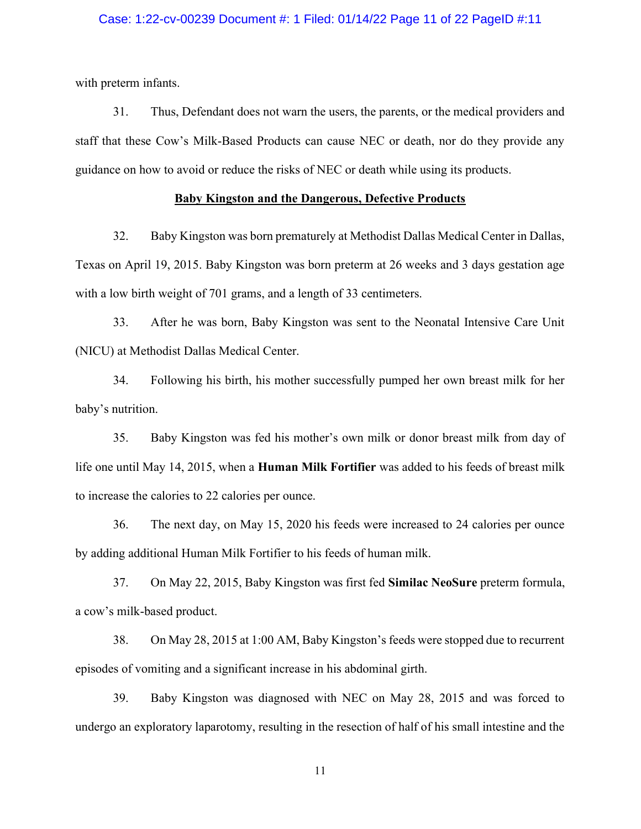#### Case: 1:22-cv-00239 Document #: 1 Filed: 01/14/22 Page 11 of 22 PageID #:11

with preterm infants.

31. Thus, Defendant does not warn the users, the parents, or the medical providers and staff that these Cow's Milk-Based Products can cause NEC or death, nor do they provide any guidance on how to avoid or reduce the risks of NEC or death while using its products.

#### Baby Kingston and the Dangerous, Defective Products

32. Baby Kingston was born prematurely at Methodist Dallas Medical Center in Dallas, Texas on April 19, 2015. Baby Kingston was born preterm at 26 weeks and 3 days gestation age with a low birth weight of 701 grams, and a length of 33 centimeters.

33. After he was born, Baby Kingston was sent to the Neonatal Intensive Care Unit (NICU) at Methodist Dallas Medical Center.

34. Following his birth, his mother successfully pumped her own breast milk for her baby's nutrition.

35. Baby Kingston was fed his mother's own milk or donor breast milk from day of life one until May 14, 2015, when a **Human Milk Fortifier** was added to his feeds of breast milk to increase the calories to 22 calories per ounce.

36. The next day, on May 15, 2020 his feeds were increased to 24 calories per ounce by adding additional Human Milk Fortifier to his feeds of human milk.

37. On May 22, 2015, Baby Kingston was first fed Similac NeoSure preterm formula, a cow's milk-based product.

38. On May 28, 2015 at 1:00 AM, Baby Kingston's feeds were stopped due to recurrent episodes of vomiting and a significant increase in his abdominal girth.

39. Baby Kingston was diagnosed with NEC on May 28, 2015 and was forced to undergo an exploratory laparotomy, resulting in the resection of half of his small intestine and the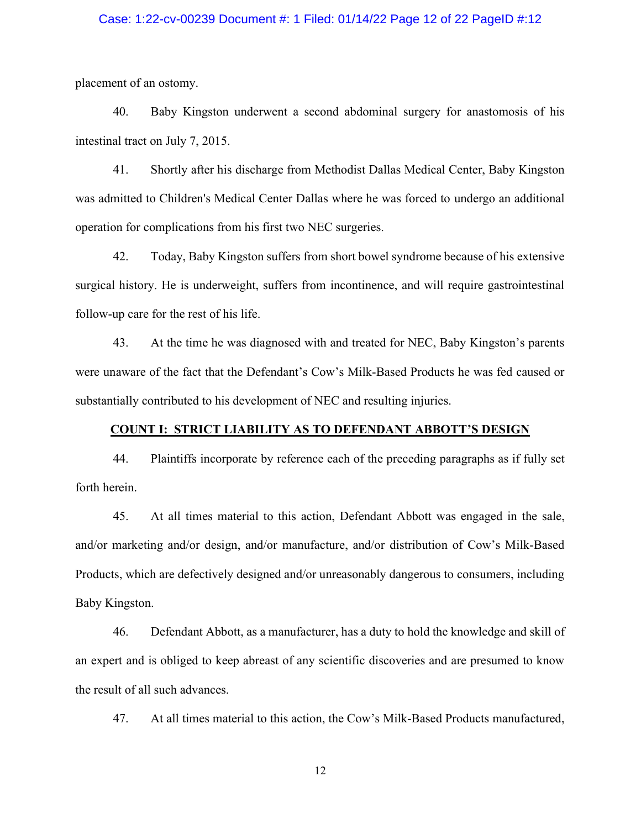#### Case: 1:22-cv-00239 Document #: 1 Filed: 01/14/22 Page 12 of 22 PageID #:12

placement of an ostomy.

40. Baby Kingston underwent a second abdominal surgery for anastomosis of his intestinal tract on July 7, 2015.

41. Shortly after his discharge from Methodist Dallas Medical Center, Baby Kingston was admitted to Children's Medical Center Dallas where he was forced to undergo an additional operation for complications from his first two NEC surgeries.

42. Today, Baby Kingston suffers from short bowel syndrome because of his extensive surgical history. He is underweight, suffers from incontinence, and will require gastrointestinal follow-up care for the rest of his life.

43. At the time he was diagnosed with and treated for NEC, Baby Kingston's parents were unaware of the fact that the Defendant's Cow's Milk-Based Products he was fed caused or substantially contributed to his development of NEC and resulting injuries.

#### COUNT I: STRICT LIABILITY AS TO DEFENDANT ABBOTT'S DESIGN

44. Plaintiffs incorporate by reference each of the preceding paragraphs as if fully set forth herein.

45. At all times material to this action, Defendant Abbott was engaged in the sale, and/or marketing and/or design, and/or manufacture, and/or distribution of Cow's Milk-Based Products, which are defectively designed and/or unreasonably dangerous to consumers, including Baby Kingston.

46. Defendant Abbott, as a manufacturer, has a duty to hold the knowledge and skill of an expert and is obliged to keep abreast of any scientific discoveries and are presumed to know the result of all such advances.

47. At all times material to this action, the Cow's Milk-Based Products manufactured,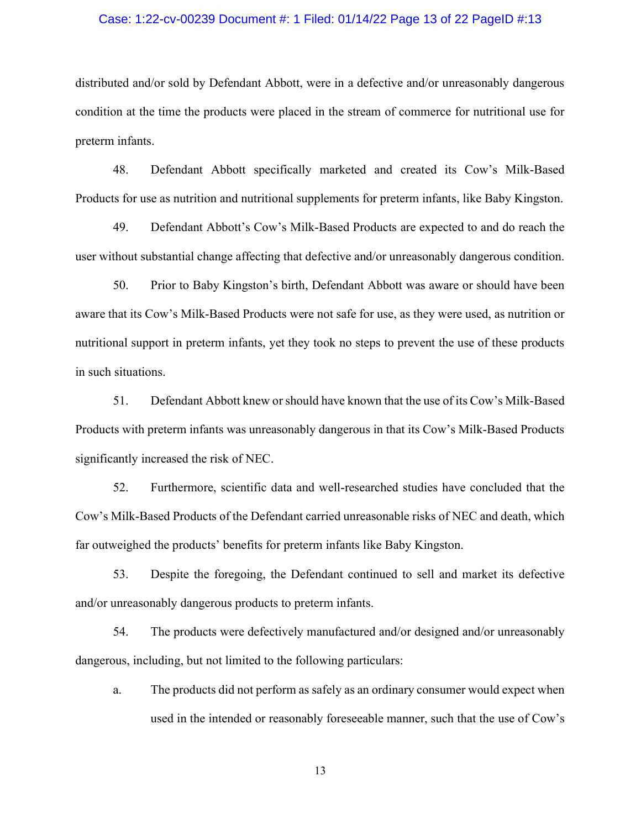#### Case: 1:22-cv-00239 Document #: 1 Filed: 01/14/22 Page 13 of 22 PageID #:13

distributed and/or sold by Defendant Abbott, were in a defective and/or unreasonably dangerous condition at the time the products were placed in the stream of commerce for nutritional use for preterm infants.

48. Defendant Abbott specifically marketed and created its Cow's Milk-Based Products for use as nutrition and nutritional supplements for preterm infants, like Baby Kingston.

49. Defendant Abbott's Cow's Milk-Based Products are expected to and do reach the user without substantial change affecting that defective and/or unreasonably dangerous condition.

50. Prior to Baby Kingston's birth, Defendant Abbott was aware or should have been aware that its Cow's Milk-Based Products were not safe for use, as they were used, as nutrition or nutritional support in preterm infants, yet they took no steps to prevent the use of these products in such situations.

51. Defendant Abbott knew or should have known that the use of its Cow's Milk-Based Products with preterm infants was unreasonably dangerous in that its Cow's Milk-Based Products significantly increased the risk of NEC.

52. Furthermore, scientific data and well-researched studies have concluded that the Cow's Milk-Based Products of the Defendant carried unreasonable risks of NEC and death, which far outweighed the products' benefits for preterm infants like Baby Kingston.

53. Despite the foregoing, the Defendant continued to sell and market its defective and/or unreasonably dangerous products to preterm infants.

54. The products were defectively manufactured and/or designed and/or unreasonably dangerous, including, but not limited to the following particulars:

a. The products did not perform as safely as an ordinary consumer would expect when used in the intended or reasonably foreseeable manner, such that the use of Cow's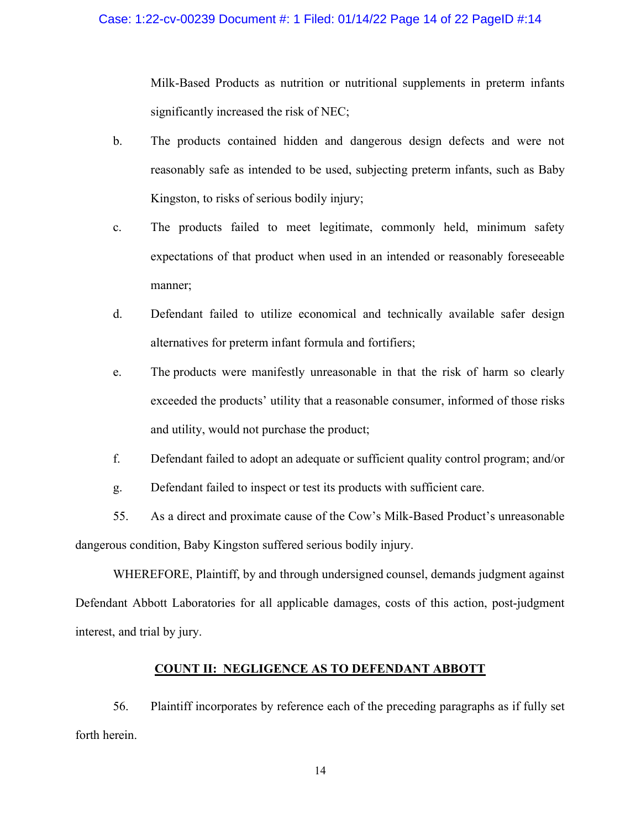#### Case: 1:22-cv-00239 Document #: 1 Filed: 01/14/22 Page 14 of 22 PageID #:14

Milk-Based Products as nutrition or nutritional supplements in preterm infants significantly increased the risk of NEC;

- b. The products contained hidden and dangerous design defects and were not reasonably safe as intended to be used, subjecting preterm infants, such as Baby Kingston, to risks of serious bodily injury;
- c. The products failed to meet legitimate, commonly held, minimum safety expectations of that product when used in an intended or reasonably foreseeable manner;
- d. Defendant failed to utilize economical and technically available safer design alternatives for preterm infant formula and fortifiers;
- e. The products were manifestly unreasonable in that the risk of harm so clearly exceeded the products' utility that a reasonable consumer, informed of those risks and utility, would not purchase the product;
- f. Defendant failed to adopt an adequate or sufficient quality control program; and/or
- g. Defendant failed to inspect or test its products with sufficient care.

55. As a direct and proximate cause of the Cow's Milk-Based Product's unreasonable

dangerous condition, Baby Kingston suffered serious bodily injury.

 WHEREFORE, Plaintiff, by and through undersigned counsel, demands judgment against Defendant Abbott Laboratories for all applicable damages, costs of this action, post-judgment interest, and trial by jury.

# COUNT II: NEGLIGENCE AS TO DEFENDANT ABBOTT

56. Plaintiff incorporates by reference each of the preceding paragraphs as if fully set forth herein.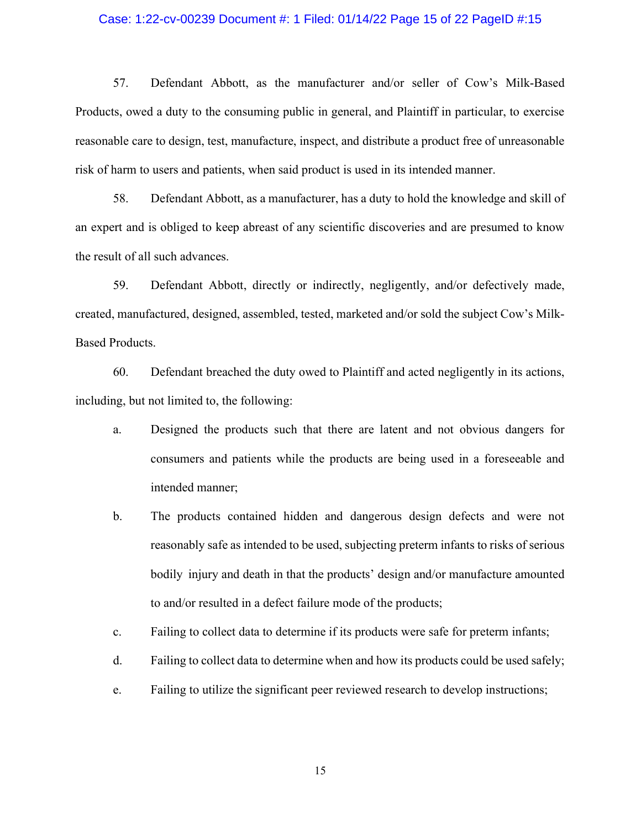#### Case: 1:22-cv-00239 Document #: 1 Filed: 01/14/22 Page 15 of 22 PageID #:15

57. Defendant Abbott, as the manufacturer and/or seller of Cow's Milk-Based Products, owed a duty to the consuming public in general, and Plaintiff in particular, to exercise reasonable care to design, test, manufacture, inspect, and distribute a product free of unreasonable risk of harm to users and patients, when said product is used in its intended manner.

58. Defendant Abbott, as a manufacturer, has a duty to hold the knowledge and skill of an expert and is obliged to keep abreast of any scientific discoveries and are presumed to know the result of all such advances.

59. Defendant Abbott, directly or indirectly, negligently, and/or defectively made, created, manufactured, designed, assembled, tested, marketed and/or sold the subject Cow's Milk-Based Products.

60. Defendant breached the duty owed to Plaintiff and acted negligently in its actions, including, but not limited to, the following:

- a. Designed the products such that there are latent and not obvious dangers for consumers and patients while the products are being used in a foreseeable and intended manner;
- b. The products contained hidden and dangerous design defects and were not reasonably safe as intended to be used, subjecting preterm infants to risks of serious bodily injury and death in that the products' design and/or manufacture amounted to and/or resulted in a defect failure mode of the products;
- c. Failing to collect data to determine if its products were safe for preterm infants;
- d. Failing to collect data to determine when and how its products could be used safely;
- e. Failing to utilize the significant peer reviewed research to develop instructions;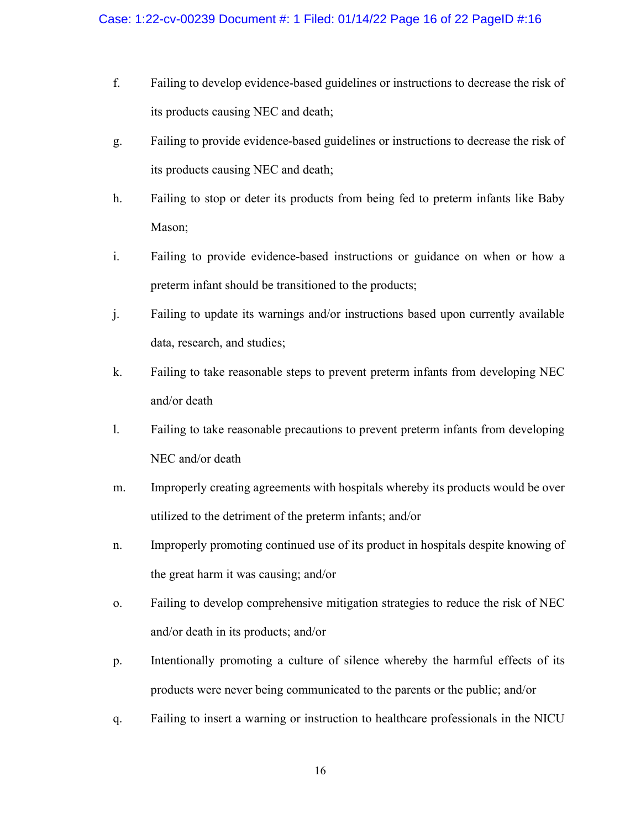- f. Failing to develop evidence-based guidelines or instructions to decrease the risk of its products causing NEC and death;
- g. Failing to provide evidence-based guidelines or instructions to decrease the risk of its products causing NEC and death;
- h. Failing to stop or deter its products from being fed to preterm infants like Baby Mason;
- i. Failing to provide evidence-based instructions or guidance on when or how a preterm infant should be transitioned to the products;
- j. Failing to update its warnings and/or instructions based upon currently available data, research, and studies;
- k. Failing to take reasonable steps to prevent preterm infants from developing NEC and/or death
- l. Failing to take reasonable precautions to prevent preterm infants from developing NEC and/or death
- m. Improperly creating agreements with hospitals whereby its products would be over utilized to the detriment of the preterm infants; and/or
- n. Improperly promoting continued use of its product in hospitals despite knowing of the great harm it was causing; and/or
- o. Failing to develop comprehensive mitigation strategies to reduce the risk of NEC and/or death in its products; and/or
- p. Intentionally promoting a culture of silence whereby the harmful effects of its products were never being communicated to the parents or the public; and/or
- q. Failing to insert a warning or instruction to healthcare professionals in the NICU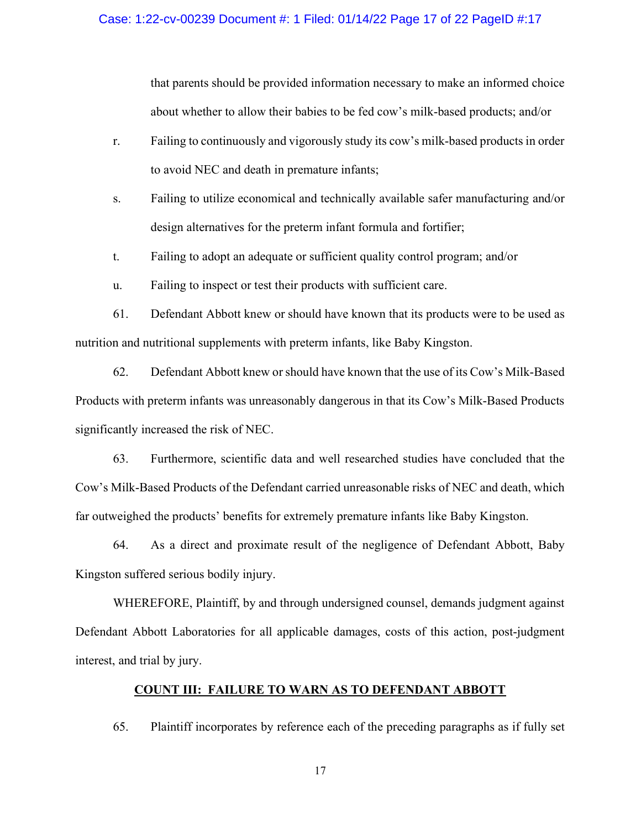that parents should be provided information necessary to make an informed choice about whether to allow their babies to be fed cow's milk-based products; and/or

- r. Failing to continuously and vigorously study its cow's milk-based products in order to avoid NEC and death in premature infants;
- s. Failing to utilize economical and technically available safer manufacturing and/or design alternatives for the preterm infant formula and fortifier;
- t. Failing to adopt an adequate or sufficient quality control program; and/or
- u. Failing to inspect or test their products with sufficient care.

61. Defendant Abbott knew or should have known that its products were to be used as nutrition and nutritional supplements with preterm infants, like Baby Kingston.

62. Defendant Abbott knew or should have known that the use of its Cow's Milk-Based Products with preterm infants was unreasonably dangerous in that its Cow's Milk-Based Products significantly increased the risk of NEC.

63. Furthermore, scientific data and well researched studies have concluded that the Cow's Milk-Based Products of the Defendant carried unreasonable risks of NEC and death, which far outweighed the products' benefits for extremely premature infants like Baby Kingston.

64. As a direct and proximate result of the negligence of Defendant Abbott, Baby Kingston suffered serious bodily injury.

WHEREFORE, Plaintiff, by and through undersigned counsel, demands judgment against Defendant Abbott Laboratories for all applicable damages, costs of this action, post-judgment interest, and trial by jury.

### COUNT III: FAILURE TO WARN AS TO DEFENDANT ABBOTT

65. Plaintiff incorporates by reference each of the preceding paragraphs as if fully set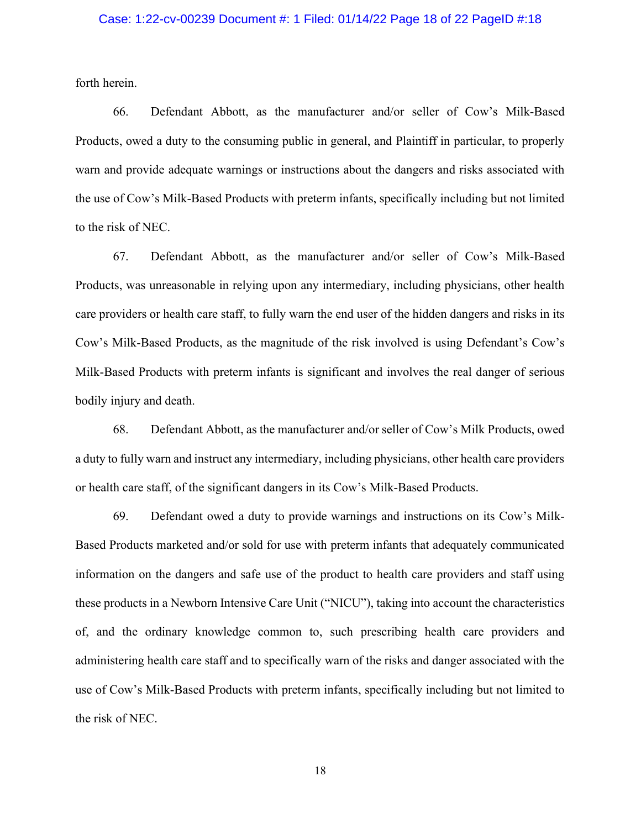#### Case: 1:22-cv-00239 Document #: 1 Filed: 01/14/22 Page 18 of 22 PageID #:18

forth herein.

66. Defendant Abbott, as the manufacturer and/or seller of Cow's Milk-Based Products, owed a duty to the consuming public in general, and Plaintiff in particular, to properly warn and provide adequate warnings or instructions about the dangers and risks associated with the use of Cow's Milk-Based Products with preterm infants, specifically including but not limited to the risk of NEC.

67. Defendant Abbott, as the manufacturer and/or seller of Cow's Milk-Based Products, was unreasonable in relying upon any intermediary, including physicians, other health care providers or health care staff, to fully warn the end user of the hidden dangers and risks in its Cow's Milk-Based Products, as the magnitude of the risk involved is using Defendant's Cow's Milk-Based Products with preterm infants is significant and involves the real danger of serious bodily injury and death.

68. Defendant Abbott, as the manufacturer and/or seller of Cow's Milk Products, owed a duty to fully warn and instruct any intermediary, including physicians, other health care providers or health care staff, of the significant dangers in its Cow's Milk-Based Products.

69. Defendant owed a duty to provide warnings and instructions on its Cow's Milk-Based Products marketed and/or sold for use with preterm infants that adequately communicated information on the dangers and safe use of the product to health care providers and staff using these products in a Newborn Intensive Care Unit ("NICU"), taking into account the characteristics of, and the ordinary knowledge common to, such prescribing health care providers and administering health care staff and to specifically warn of the risks and danger associated with the use of Cow's Milk-Based Products with preterm infants, specifically including but not limited to the risk of NEC.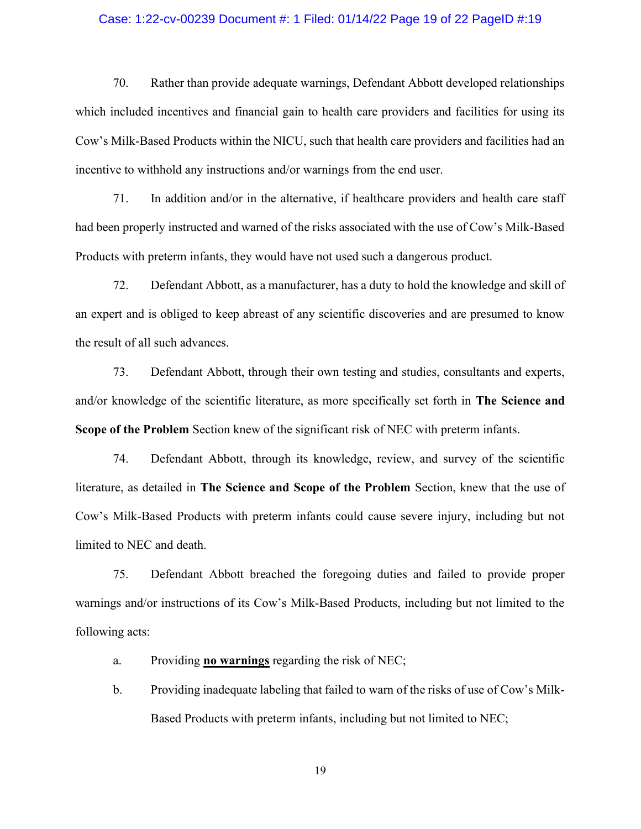#### Case: 1:22-cv-00239 Document #: 1 Filed: 01/14/22 Page 19 of 22 PageID #:19

70. Rather than provide adequate warnings, Defendant Abbott developed relationships which included incentives and financial gain to health care providers and facilities for using its Cow's Milk-Based Products within the NICU, such that health care providers and facilities had an incentive to withhold any instructions and/or warnings from the end user.

71. In addition and/or in the alternative, if healthcare providers and health care staff had been properly instructed and warned of the risks associated with the use of Cow's Milk-Based Products with preterm infants, they would have not used such a dangerous product.

72. Defendant Abbott, as a manufacturer, has a duty to hold the knowledge and skill of an expert and is obliged to keep abreast of any scientific discoveries and are presumed to know the result of all such advances.

73. Defendant Abbott, through their own testing and studies, consultants and experts, and/or knowledge of the scientific literature, as more specifically set forth in The Science and Scope of the Problem Section knew of the significant risk of NEC with preterm infants.

74. Defendant Abbott, through its knowledge, review, and survey of the scientific literature, as detailed in The Science and Scope of the Problem Section, knew that the use of Cow's Milk-Based Products with preterm infants could cause severe injury, including but not limited to NEC and death.

75. Defendant Abbott breached the foregoing duties and failed to provide proper warnings and/or instructions of its Cow's Milk-Based Products, including but not limited to the following acts:

a. Providing **no warnings** regarding the risk of NEC;

b. Providing inadequate labeling that failed to warn of the risks of use of Cow's Milk-Based Products with preterm infants, including but not limited to NEC;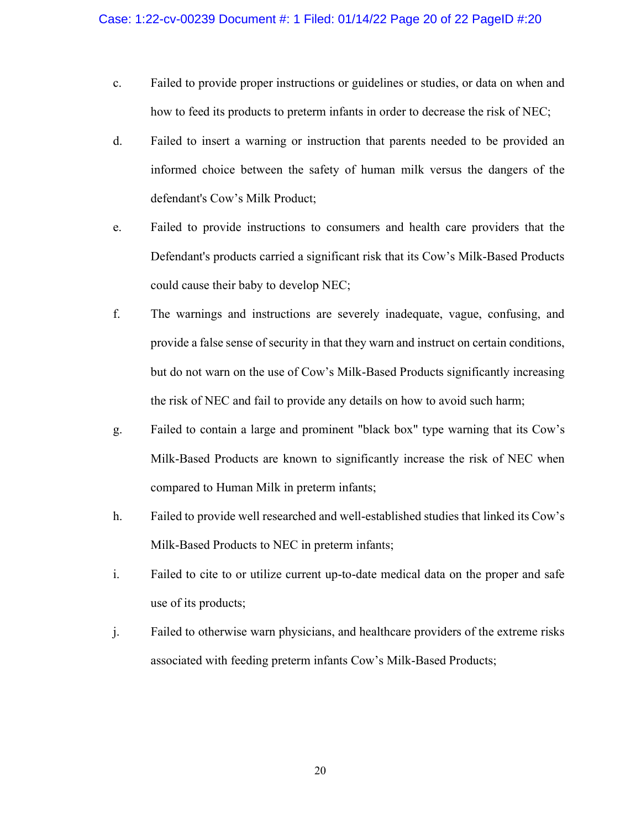- c. Failed to provide proper instructions or guidelines or studies, or data on when and how to feed its products to preterm infants in order to decrease the risk of NEC;
- d. Failed to insert a warning or instruction that parents needed to be provided an informed choice between the safety of human milk versus the dangers of the defendant's Cow's Milk Product;
- e. Failed to provide instructions to consumers and health care providers that the Defendant's products carried a significant risk that its Cow's Milk-Based Products could cause their baby to develop NEC;
- f. The warnings and instructions are severely inadequate, vague, confusing, and provide a false sense of security in that they warn and instruct on certain conditions, but do not warn on the use of Cow's Milk-Based Products significantly increasing the risk of NEC and fail to provide any details on how to avoid such harm;
- g. Failed to contain a large and prominent "black box" type warning that its Cow's Milk-Based Products are known to significantly increase the risk of NEC when compared to Human Milk in preterm infants;
- h. Failed to provide well researched and well-established studies that linked its Cow's Milk-Based Products to NEC in preterm infants;
- i. Failed to cite to or utilize current up-to-date medical data on the proper and safe use of its products;
- j. Failed to otherwise warn physicians, and healthcare providers of the extreme risks associated with feeding preterm infants Cow's Milk-Based Products;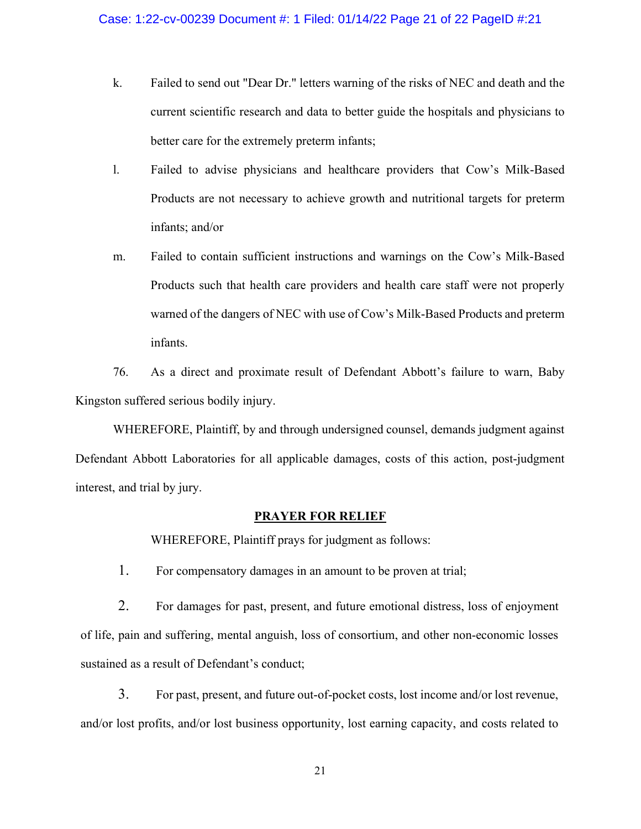- k. Failed to send out "Dear Dr." letters warning of the risks of NEC and death and the current scientific research and data to better guide the hospitals and physicians to better care for the extremely preterm infants;
- l. Failed to advise physicians and healthcare providers that Cow's Milk-Based Products are not necessary to achieve growth and nutritional targets for preterm infants; and/or
- m. Failed to contain sufficient instructions and warnings on the Cow's Milk-Based Products such that health care providers and health care staff were not properly warned of the dangers of NEC with use of Cow's Milk-Based Products and preterm infants.

76. As a direct and proximate result of Defendant Abbott's failure to warn, Baby Kingston suffered serious bodily injury.

WHEREFORE, Plaintiff, by and through undersigned counsel, demands judgment against Defendant Abbott Laboratories for all applicable damages, costs of this action, post-judgment interest, and trial by jury.

#### PRAYER FOR RELIEF

WHEREFORE, Plaintiff prays for judgment as follows:

1. For compensatory damages in an amount to be proven at trial;

2. For damages for past, present, and future emotional distress, loss of enjoyment of life, pain and suffering, mental anguish, loss of consortium, and other non-economic losses sustained as a result of Defendant's conduct;

3. For past, present, and future out-of-pocket costs, lost income and/or lost revenue, and/or lost profits, and/or lost business opportunity, lost earning capacity, and costs related to